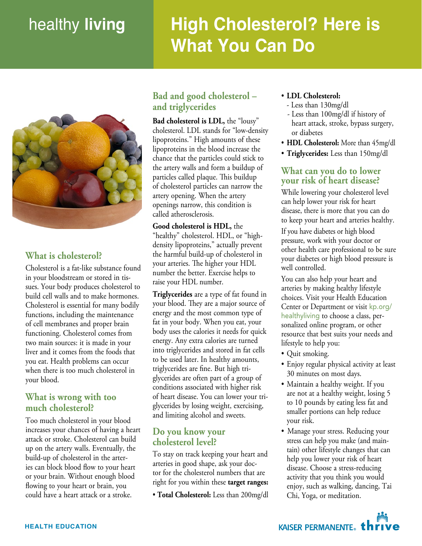# healthy living to the control of the control of the control of the control of the control of the control of th<br>Microsoft and the control of the control of the control of the control of the control of the control of the co healthy **living High Cholesterol? Here is What You Can Do**

RECTANGE IN 1999 FOR THE STATE OF THE STATE OF THE STATE OF THE STATE OF THE STATE OF THE STATE OF THE STATE O<br>RECTANGE



#### What is cholesterol? what is choicsicion.

Cholesterol is a fat-like substance found in your bloodstream or stored in tissues. Your body produces cholesterol to build cell walls and to make hormones. bund cen wans and to make normones.<br>Cholesterol is essential for many bodily enonesteror is essentiar for many bound differenties, increasing the maintenance or can incrimented and proper stain two main sources: it is made in your liver and it comes from the foods that you eat. Health problems can occur when there is too much cholesterol in your blood.

#### **What is wrong with too**  much cholesterol? doloreet, senisi. Illum alit voloreet, senisi. Illum alit voloreet, senisi. Illum alit voloreet, senisi. Illum<br>Illum alit voloreet, senisi. Illum alit voloreet, senisi. Illum alit voloreet, senisi. Illum alit voloreet, se What is wrong with too

Too much cholesterol in your blood increases your chances of having a heart attack or stroke. Cholesterol can build up on the artery walls. Eventually, the build-up of cholesterol in the arteries can block blood flow to your heart or your brain. Without enough blood flowing to your heart or brain, you could have a heart attack or a stroke.

### Kaiser Permanente **Bad and good cholesterol – and triglycerides**

**Bad cholesterol is LDL,** the "lousy" cholesterol. LDL stands for "low-density" lipoproteins." High amounts of these lipoproteins in the blood increase the chance that the particles could stick to inc artery wans and form a bundup of<br>particles called plaque. This buildup particles cancel piaque. This bundap or energie tem interest can harrow the artery opening. When the artery  $\frac{d}{dx}$  openings narrow, this condition is called atherosclerosis. the artery walls and form a buildup of

Good cholesterol is HDL, the "healthy" cholesterol. HDL, or "highdensity lipoproteins," actually prevent the harmful build-up of cholesterol in your arteries. The higher your HDL number the better. Exercise helps to raise your HDL number.

**Triglycerides** are a type of fat found in your blood. They are a major source of energy and the most common type of fat in your body. When you eat, your body uses the calories it needs for quick energy. Any extra calories are turned into triglycerides and stored in fat cells to be used later. In healthy amounts, triglycerides are fine. But high triglycerides are often part of a group of conditions associated with higher risk of heart disease. You can lower your triglycerides by losing weight, exercising,<br>and limities also had and weath and limiting alcohol and sweets.

# **Do you know your** cholesterol level?

To stay on track keeping your heart and arteries in good shape, ask your doctor for the cholesterol numbers that are right for you within these target ranges:

• Total Cholesterol: Less than 200mg • Total Cholesterol: Less than 200mg/dl

- **LDL Cholesterol:**
	- Less than 130mg/dl
- heart attack, stroke, bypass surgery, or diabetes - Less than 100mg/dl if history of
- HDL Cholesterol: More than 45mg/dl
- Triglycerides: Less than 150mg/dl sisi. Odolese dolendreet wis nim

## **What can you do to lower your risk of heart disease?**

While lowering your cholesterol level can help lower your risk for heart disease, there is more that you can do to keep your heart and arteries healthy.

If you have diabetes or high blood pressure, work with your doctor or other health care professional to be sure your diabetes or high blood pressure is well controlled.

You can also help your heart and arteries by making healthy lifestyle choices. Visit your Health Education Center or Department or visit kp.org/ reatily wing to choose a class, per-<br>sonalized online program, or other resource that best suits your needs and lifestyle to help you: healthyliving to choose a class, per-

- Quit smoking.
- Enjoy regular physical activity at least Enjoy regular priyoted details
- Maintain a healthy weight. If you malling a healthy weight. If you to  $10$  pounds by eating less fat and  $s$ maller portions can help reduce your risk.
- Manage your stress. Reducing your stress can help you make (and maintain) other lifestyle changes that can help you lower your risk of heart disease. Choose a stress-reducing activity that you think you would enjoy, such as walking, dancing, Tai Chi, Yoga, or meditation.